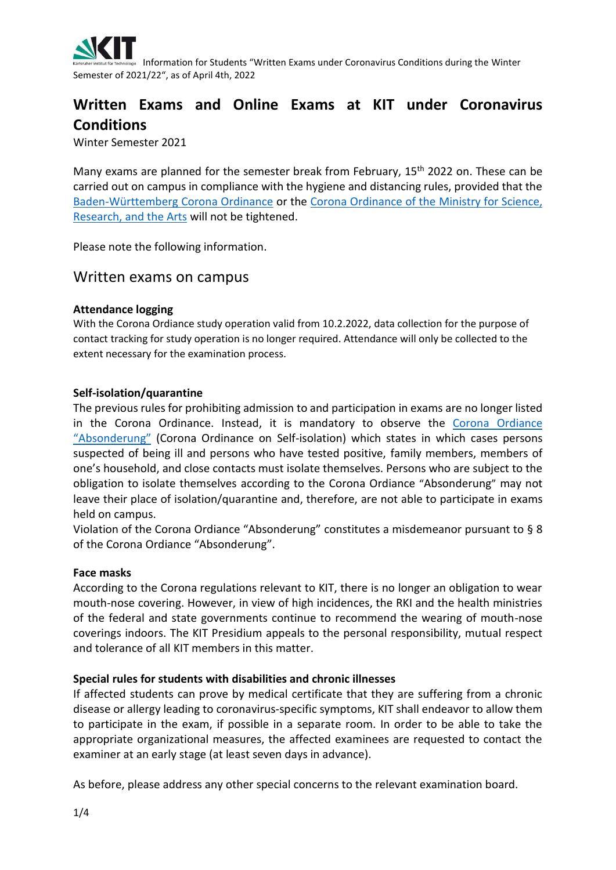

 Information for Students "Written Exams under Coronavirus Conditions during the Winter Semester of 2021/22", as of April 4th, 2022

# **Written Exams and Online Exams at KIT under Coronavirus Conditions**

Winter Semester 2021

Many exams are planned for the semester break from February, 15<sup>th</sup> 2022 on. These can be carried out on campus in compliance with the hygiene and distancing rules, provided that the [Baden-Württemberg Corona Ordinance](https://www.baden-wuerttemberg.de/de/service/aktuelle-infos-zu-corona/aktuelle-corona-verordnung-des-landes-baden-wuerttemberg/) or the [Corona Ordinance of the Ministry for Science,](https://mwk.baden-wuerttemberg.de/de/service/informationen-zu-corona/corona-verordnung-studienbetrie/)  [Research, and the Arts](https://mwk.baden-wuerttemberg.de/de/service/informationen-zu-corona/corona-verordnung-studienbetrie/) will not be tightened.

Please note the following information.

## Written exams on campus

#### **Attendance logging**

With the Corona Ordiance study operation valid from 10.2.2022, data collection for the purpose of contact tracking for study operation is no longer required. Attendance will only be collected to the extent necessary for the examination process.

#### **Self-isolation/quarantine**

The previous rules for prohibiting admission to and participation in exams are no longer listed in the Corona Ordinance. Instead, it is mandatory to observe the Corona [Ordiance](https://www.baden-wuerttemberg.de/de/service/aktuelle-infos-zu-corona/uebersicht-corona-verordnungen/coronavo-absonderung/) "[Absonderung](https://www.baden-wuerttemberg.de/de/service/aktuelle-infos-zu-corona/uebersicht-corona-verordnungen/coronavo-absonderung/)" (Corona Ordinance on Self-isolation) which states in which cases persons suspected of being ill and persons who have tested positive, family members, members of one's household, and close contacts must isolate themselves. Persons who are subject to the obligation to isolate themselves according to the Corona Ordiance "Absonderung" may not leave their place of isolation/quarantine and, therefore, are not able to participate in exams held on campus.

Violation of the Corona Ordiance "Absonderung" constitutes a misdemeanor pursuant to § 8 of the Corona Ordiance "Absonderung".

#### **Face masks**

According to the Corona regulations relevant to KIT, there is no longer an obligation to wear mouth-nose covering. However, in view of high incidences, the RKI and the health ministries of the federal and state governments continue to recommend the wearing of mouth-nose coverings indoors. The KIT Presidium appeals to the personal responsibility, mutual respect and tolerance of all KIT members in this matter.

#### **Special rules for students with disabilities and chronic illnesses**

If affected students can prove by medical certificate that they are suffering from a chronic disease or allergy leading to coronavirus-specific symptoms, KIT shall endeavor to allow them to participate in the exam, if possible in a separate room. In order to be able to take the appropriate organizational measures, the affected examinees are requested to contact the examiner at an early stage (at least seven days in advance).

As before, please address any other special concerns to the relevant examination board.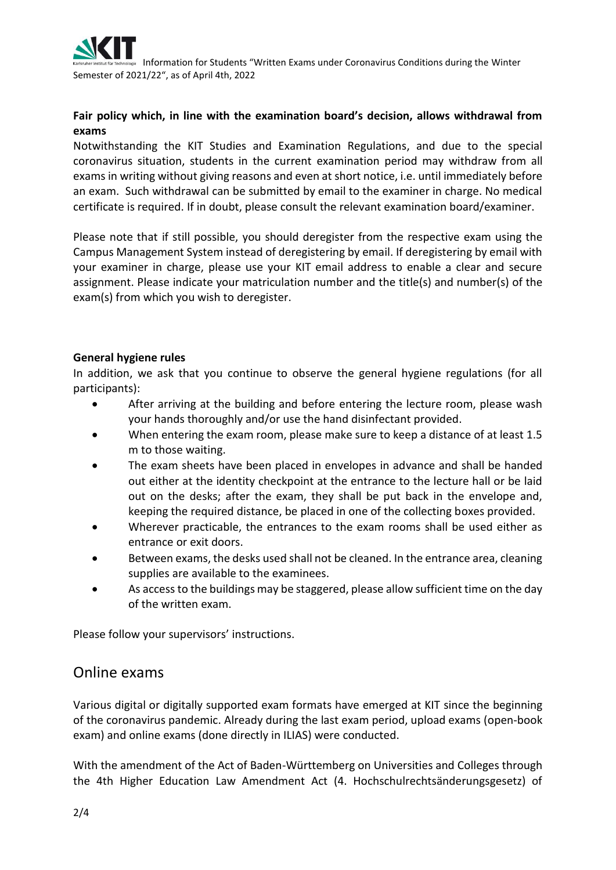

 Information for Students "Written Exams under Coronavirus Conditions during the Winter Semester of 2021/22", as of April 4th, 2022

### **Fair policy which, in line with the examination board's decision, allows withdrawal from exams**

Notwithstanding the KIT Studies and Examination Regulations, and due to the special coronavirus situation, students in the current examination period may withdraw from all exams in writing without giving reasons and even at short notice, i.e. until immediately before an exam. Such withdrawal can be submitted by email to the examiner in charge. No medical certificate is required. If in doubt, please consult the relevant examination board/examiner.

Please note that if still possible, you should deregister from the respective exam using the Campus Management System instead of deregistering by email. If deregistering by email with your examiner in charge, please use your KIT email address to enable a clear and secure assignment. Please indicate your matriculation number and the title(s) and number(s) of the exam(s) from which you wish to deregister.

#### **General hygiene rules**

In addition, we ask that you continue to observe the general hygiene regulations (for all participants):

- After arriving at the building and before entering the lecture room, please wash your hands thoroughly and/or use the hand disinfectant provided.
- When entering the exam room, please make sure to keep a distance of at least 1.5 m to those waiting.
- The exam sheets have been placed in envelopes in advance and shall be handed out either at the identity checkpoint at the entrance to the lecture hall or be laid out on the desks; after the exam, they shall be put back in the envelope and, keeping the required distance, be placed in one of the collecting boxes provided.
- Wherever practicable, the entrances to the exam rooms shall be used either as entrance or exit doors.
- Between exams, the desks used shall not be cleaned. In the entrance area, cleaning supplies are available to the examinees.
- As access to the buildings may be staggered, please allow sufficient time on the day of the written exam.

Please follow your supervisors' instructions.

## Online exams

Various digital or digitally supported exam formats have emerged at KIT since the beginning of the coronavirus pandemic. Already during the last exam period, upload exams (open-book exam) and online exams (done directly in ILIAS) were conducted.

With the amendment of the Act of Baden-Württemberg on Universities and Colleges through the 4th Higher Education Law Amendment Act (4. Hochschulrechtsänderungsgesetz) of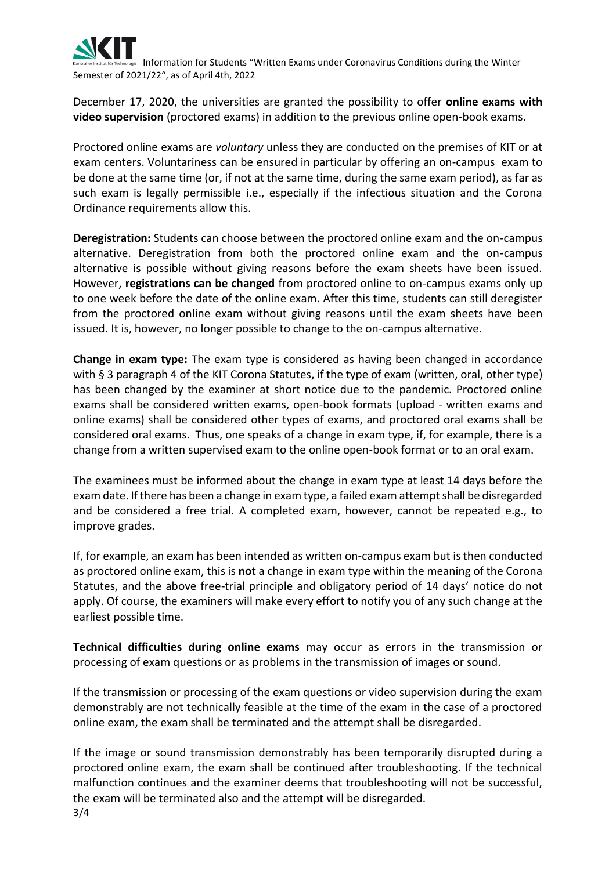

 Information for Students "Written Exams under Coronavirus Conditions during the Winter Semester of 2021/22", as of April 4th, 2022

December 17, 2020, the universities are granted the possibility to offer **online exams with video supervision** (proctored exams) in addition to the previous online open-book exams.

Proctored online exams are *voluntary* unless they are conducted on the premises of KIT or at exam centers. Voluntariness can be ensured in particular by offering an on-campus exam to be done at the same time (or, if not at the same time, during the same exam period), as far as such exam is legally permissible i.e., especially if the infectious situation and the Corona Ordinance requirements allow this.

**Deregistration:** Students can choose between the proctored online exam and the on-campus alternative. Deregistration from both the proctored online exam and the on-campus alternative is possible without giving reasons before the exam sheets have been issued. However, **registrations can be changed** from proctored online to on-campus exams only up to one week before the date of the online exam. After this time, students can still deregister from the proctored online exam without giving reasons until the exam sheets have been issued. It is, however, no longer possible to change to the on-campus alternative.

**Change in exam type:** The exam type is considered as having been changed in accordance with § 3 paragraph 4 of the KIT Corona Statutes, if the type of exam (written, oral, other type) has been changed by the examiner at short notice due to the pandemic. Proctored online exams shall be considered written exams, open-book formats (upload - written exams and online exams) shall be considered other types of exams, and proctored oral exams shall be considered oral exams. Thus, one speaks of a change in exam type, if, for example, there is a change from a written supervised exam to the online open-book format or to an oral exam.

The examinees must be informed about the change in exam type at least 14 days before the exam date. If there has been a change in exam type, a failed exam attempt shall be disregarded and be considered a free trial. A completed exam, however, cannot be repeated e.g., to improve grades.

If, for example, an exam has been intended as written on-campus exam but is then conducted as proctored online exam, this is **not** a change in exam type within the meaning of the Corona Statutes, and the above free-trial principle and obligatory period of 14 days' notice do not apply. Of course, the examiners will make every effort to notify you of any such change at the earliest possible time.

**Technical difficulties during online exams** may occur as errors in the transmission or processing of exam questions or as problems in the transmission of images or sound.

If the transmission or processing of the exam questions or video supervision during the exam demonstrably are not technically feasible at the time of the exam in the case of a proctored online exam, the exam shall be terminated and the attempt shall be disregarded.

3/4 If the image or sound transmission demonstrably has been temporarily disrupted during a proctored online exam, the exam shall be continued after troubleshooting. If the technical malfunction continues and the examiner deems that troubleshooting will not be successful, the exam will be terminated also and the attempt will be disregarded.